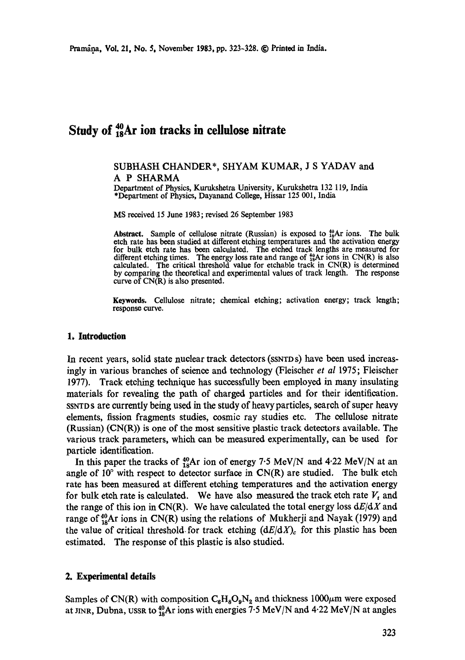# **Study of**  $^{40}_{18}$ **Ar ion tracks in cellulose nitrate**

# SUBHASH CHANDER\*, SHYAM KUMAR, J S YADAV and A P SHARMA

Department of Physics, Kurukshetra University, Kurukshetra 132 119, India \*Department of Physics, Dayanand College, Hissar 125 001, India

MS received 15 June 1983; revised 26 September 1983

Abstract. Sample of cellulose nitrate (Russian) is exposed to  $^{40}_{18}Ar$  ions. The bulk etch rate has been studied at different etching temperatures and the activation energy for bulk etch rate has been calculated. The etched track lengths are measured for different etching times. The energy loss rate and range of  $^{49}_{38}\text{Ar}$  ions in CN(R) is also calculated. The critical threshold value for etchable track in  $CN(R)$  is determined by comparing the theoretical and experimental values of track length. The response curve of CN(R) is also presented.

Keywords. Cellulose nitrate; chemical etching; activation energy; track length; response curve.

## **I. introduction**

In recent years, solid state nuclear track detectors (SSNTD s) have been used increasingly in various branches of science and technology (Fleischer *et al* 1975; Fleischer 1977). Track etching technique has successfully been employed in many insulating materials for revealing the path of charged particles and for their identification. SSNTD S are currently being used in the study of heavy particles, search of super heavy elements, fission fragments studies, cosmic ray studies etc. The cellulose nitrate (Russian) (CN(R)) is one of the most sensitive plastic track detectors available. The various track parameters, which can be measured experimentally, can be used for particle identification.

In this paper the tracks of  $^{40}_{18}$ Ar ion of energy 7.5 MeV/N and 4.22 MeV/N at an angle of  $10^{\circ}$  with respect to detector surface in  $CN(R)$  are studied. The bulk etch rate has been measured at different etching temperatures and the activation energy for bulk etch rate is calculated. We have also measured the track etch rate  $V_t$  and the range of this ion in CN(R). We have calculated the total energy loss *dE/dX* and range of  $^{40}_{18}$ Ar ions in CN(R) using the relations of Mukherji and Nayak (1979) and the value of critical threshold for track etching  $(dE/dX)$ <sub>c</sub> for this plastic has been estimated. The response of this plastic is also studied.

#### **2. Experimental details**

Samples of CN(R) with composition  $C_8H_8O_9N_2$  and thickness 1000 $\mu$ m were exposed at JINR, Dubna, USSR to <sup>40</sup><sub>18</sub>Ar ions with energies 7.5 MeV/N and 4.22 MeV/N at angles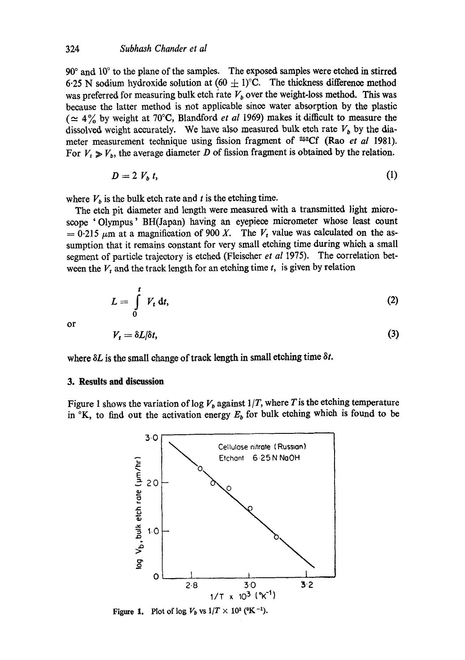$90^\circ$  and  $10^\circ$  to the plane of the samples. The exposed samples were etched in stirred 6.25 N sodium hydroxide solution at  $(60 \pm 1)$ °C. The thickness difference method was preferred for measuring bulk etch rate  $V_b$  over the weight-loss method. This was because the latter method is not applicable since water absorption by the plastic ( $\simeq$  4% by weight at 70°C, Blandford *et al* 1969) makes it difficult to measure the dissolved weight accurately. We have also measured bulk etch rate  $V<sub>b</sub>$  by the diameter measurement technique using fission fragment of <sup>252</sup>Cf (Rao et al 1981). For  $V_t \ge V_b$ , the average diameter D of fission fragment is obtained by the relation.

$$
D=2 V_b t, \qquad (1)
$$

where  $V_b$  is the bulk etch rate and t is the etching time.

The etch pit diameter and length were measured with a transmitted light microscope 'Olympus' BH(Japan) having an eyepiece micrometer whose least count  $= 0.215~\mu m$  at a magnification of 900 X. The V<sub>t</sub> value was calculated on the assumption that it remains constant for very small etching time during which a small segment of particle trajectory is etched (Fleischer *et al* 1975). The correlation between the  $V_t$  and the track length for an etching time t, is given by relation

$$
L=\int\limits_0^t V_t\,\mathrm{d}t,\qquad (2)
$$

or

$$
V_t = \delta L/\delta t,\tag{3}
$$

where  $\delta L$  is the small change of track length in small etching time  $\delta t$ .

## **3. Results and discussion**

Figure 1 shows the variation of log  $V<sub>b</sub>$  against  $1/T$ , where T is the etching temperature in  ${}^{\circ}K$ , to find out the activation energy  $E_b$  for bulk etching which is found to be



Figure 1. Plot of  $\log V_b$  vs  $1/T \times 10^3$  ( $\rm K^{-1}$ ).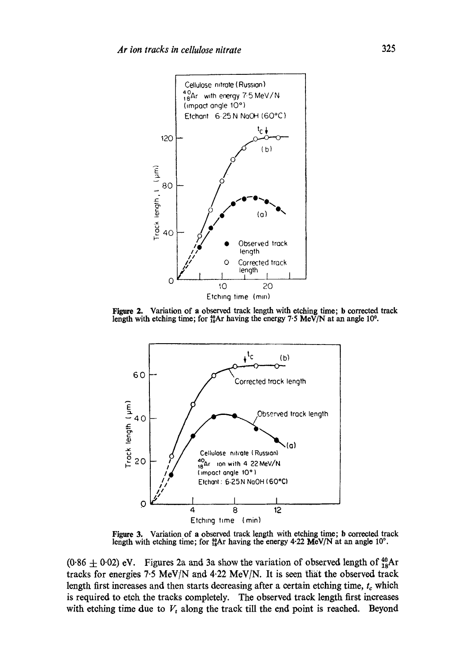

Figure 2. Variation of a **observed track length with etching time; b corrected track**  length with etching time; for <sup>40</sup><sub>18</sub>Ar having the energy 7.5 MeV/N at an angle 10<sup>o</sup>.



Figure 3. Variation of a **observed track length with etching time; b corrected track**  length with etching time; for  $^{40}_{18}$ Ar having the energy 4.22 **MeV/N** at an angle 10<sup>o</sup>.

 $(0.86 \pm 0.02)$  eV. Figures 2a and 3a show the variation of observed length of  $^{40}_{18}$ Ar tracks for energies 7.5 MeV/N and 4.22 MeV/N. It is seen that the observed track length first increases and then starts decreasing after a certain etching time,  $t_c$  which **is required to etch the tracks completely. The observed track length first increases**  with etching time due to  $V_t$  along the track till the end point is reached. Beyond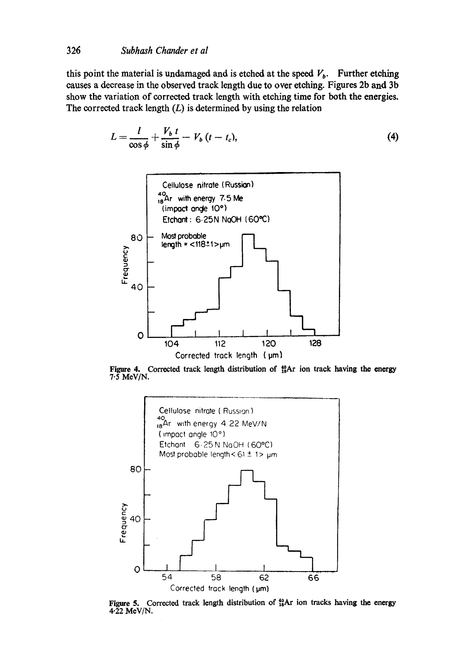this point the material is undamaged and is etched at the speed  $V<sub>b</sub>$ . Further etching causes a decrease in the observed track length due to over etching. Figures 2b and 3b show the variation of corrected track length with etching time for both the energies. The corrected track length  $(L)$  is determined by using the relation

$$
L = \frac{l}{\cos \phi} + \frac{V_b t}{\sin \phi} - V_b (t - t_c),
$$
\n(4)



Figure 4. Corrected track length distribution of  $^{40}_{18}$ Ar ion track having the energy  $7.5$  MeV/N.



Figure 5. Corrected track length distribution of  $^{40}_{18}$ Ar ion tracks having the energy  $4.22$  MeV/N.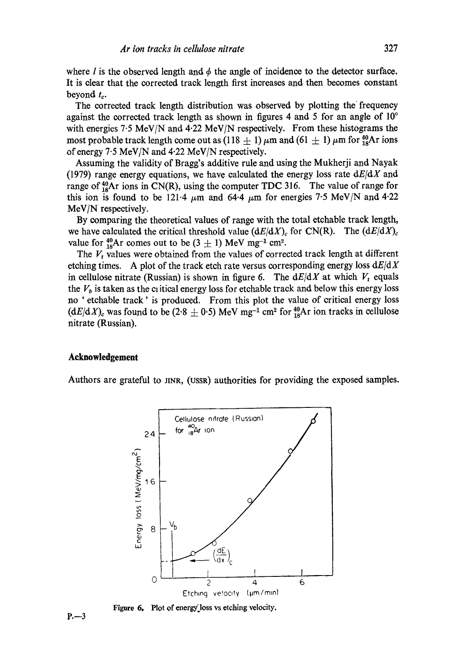where l is the observed length and  $\phi$  the angle of incidence to the detector surface. It is dear that the corrected track length first increases and then becomes constant beyond  $t_c$ .

The corrected track length distribution was observed by plotting the frequency against the corrected track length as shown in figures 4 and 5 for an angle of  $10^{\circ}$ with energies 7.5 MeV/N and 4.22 MeV/N respectively. From these histograms the most probable track length come out as (118  $\pm$  1)  $\mu$ m and (61  $\pm$  1)  $\mu$ m for  $^{40}_{18}$ Ar ions of energy 7-5 MeV/N and 4.22 MeV/N respectively.

Assuming the validity of Bragg's additive rule and using the Mukherji and Nayak (1979) range energy equations, we have calculated the energy loss rate *dE/dX* and range of  $^{40}_{18}$ Ar ions in CN(R), using the computer TDC 316. The value of range for this ion is found to be 121.4  $\mu$ m and 64.4  $\mu$ m for energies 7.5 MeV/N and 4.22 MeV/N respectively.

By comparing the theoretical values of range with the total etehable track length, we have calculated the critical threshold value  $(dE/dX)_{c}$  for CN(R). The  $(dE/dX)_{c}$ value for  $^{40}_{18}$ Ar comes out to be (3  $\pm$  1) MeV mg<sup>-1</sup> cm<sup>2</sup>.

The  $V_t$  values were obtained from the values of corrected track length at different etching times. A plot of the track etch rate versus corresponding energy loss *dE/dX*  in cellulose nitrate (Russian) is shown in figure 6. The  $dE/dX$  at which  $V_t$  equals the  $V_b$  is taken as the cuitical energy loss for etchable track and below this energy loss no ' etehable track' is produced. From this plot the value of critical energy loss  $(dE/dX)_c$  was found to be (2.8  $\pm$  0.5) MeV mg<sup>-1</sup> cm<sup>2</sup> for  $^{40}_{18}$ Ar ion tracks in cellulose nitrate (Russian).

# **Acknowledgement**

Authors are grateful to JINR, (USSR) authorities for providing the exposed samples.



Figure 6. Plot of energy.loss vs etching velocity.